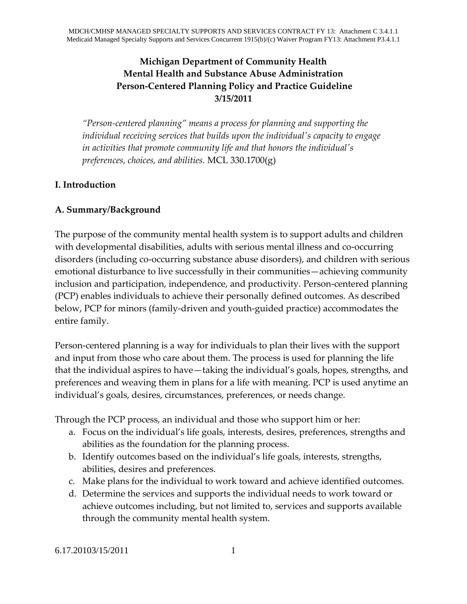## **Michigan Department of Community Health Mental Health and Substance Abuse Administration Person-Centered Planning Policy and Practice Guideline 3/15/2011**

*"Person-centered planning" means a process for planning and supporting the individual receiving services that builds upon the individual's capacity to engage in activities that promote community life and that honors the individual's preferences, choices, and abilities.* MCL 330.1700(g)

#### **I. Introduction**

#### **A. Summary/Background**

The purpose of the community mental health system is to support adults and children with developmental disabilities, adults with serious mental illness and co-occurring disorders (including co-occurring substance abuse disorders), and children with serious emotional disturbance to live successfully in their communities—achieving community inclusion and participation, independence, and productivity. Person-centered planning (PCP) enables individuals to achieve their personally defined outcomes. As described below, PCP for minors (family-driven and youth-guided practice) accommodates the entire family.

Person-centered planning is a way for individuals to plan their lives with the support and input from those who care about them. The process is used for planning the life that the individual aspires to have—taking the individual's goals, hopes, strengths, and preferences and weaving them in plans for a life with meaning. PCP is used anytime an individual's goals, desires, circumstances, preferences, or needs change.

Through the PCP process, an individual and those who support him or her:

- a. Focus on the individual's life goals, interests, desires, preferences, strengths and abilities as the foundation for the planning process.
- b. Identify outcomes based on the individual's life goals, interests, strengths, abilities, desires and preferences.
- c. Make plans for the individual to work toward and achieve identified outcomes.
- d. Determine the services and supports the individual needs to work toward or achieve outcomes including, but not limited to, services and supports available through the community mental health system.

6.17.20103/15/2011 1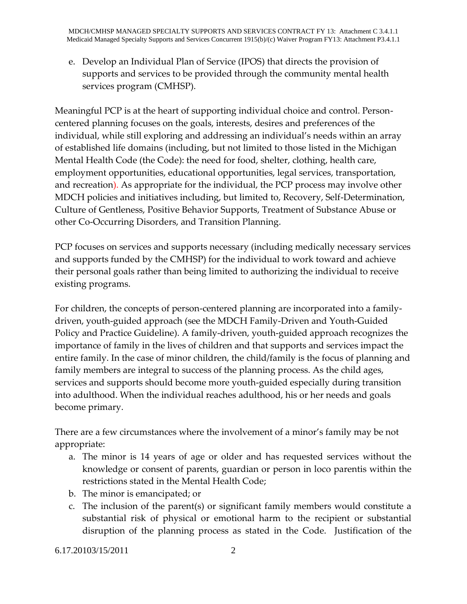e. Develop an Individual Plan of Service (IPOS) that directs the provision of supports and services to be provided through the community mental health services program (CMHSP).

Meaningful PCP is at the heart of supporting individual choice and control. Personcentered planning focuses on the goals, interests, desires and preferences of the individual, while still exploring and addressing an individual's needs within an array of established life domains (including, but not limited to those listed in the Michigan Mental Health Code (the Code): the need for food, shelter, clothing, health care, employment opportunities, educational opportunities, legal services, transportation, and recreation). As appropriate for the individual, the PCP process may involve other MDCH policies and initiatives including, but limited to, Recovery, Self-Determination, Culture of Gentleness, Positive Behavior Supports, Treatment of Substance Abuse or other Co-Occurring Disorders, and Transition Planning.

PCP focuses on services and supports necessary (including medically necessary services and supports funded by the CMHSP) for the individual to work toward and achieve their personal goals rather than being limited to authorizing the individual to receive existing programs.

For children, the concepts of person-centered planning are incorporated into a familydriven, youth-guided approach (see the MDCH Family-Driven and Youth-Guided Policy and Practice Guideline). A family-driven, youth-guided approach recognizes the importance of family in the lives of children and that supports and services impact the entire family. In the case of minor children, the child/family is the focus of planning and family members are integral to success of the planning process. As the child ages, services and supports should become more youth-guided especially during transition into adulthood. When the individual reaches adulthood, his or her needs and goals become primary.

There are a few circumstances where the involvement of a minor's family may be not appropriate:

- a. The minor is 14 years of age or older and has requested services without the knowledge or consent of parents, guardian or person in loco parentis within the restrictions stated in the Mental Health Code;
- b. The minor is emancipated; or
- c. The inclusion of the parent(s) or significant family members would constitute a substantial risk of physical or emotional harm to the recipient or substantial disruption of the planning process as stated in the Code. Justification of the

6.17.20103/15/2011 2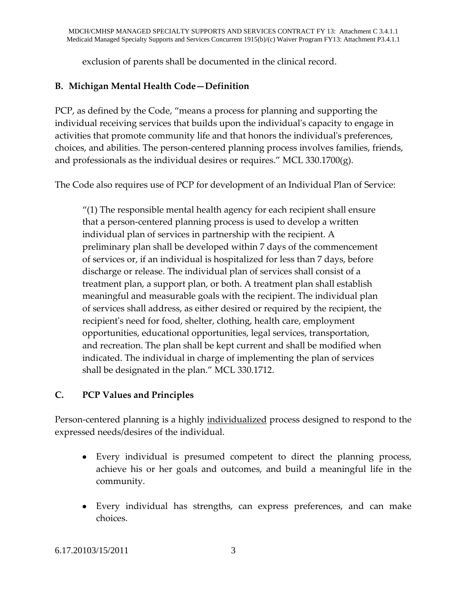exclusion of parents shall be documented in the clinical record.

## **B. Michigan Mental Health Code—Definition**

PCP, as defined by the Code, "means a process for planning and supporting the individual receiving services that builds upon the individual's capacity to engage in activities that promote community life and that honors the individual's preferences, choices, and abilities. The person-centered planning process involves families, friends, and professionals as the individual desires or requires." MCL 330.1700(g).

The Code also requires use of PCP for development of an Individual Plan of Service:

 $''(1)$  The responsible mental health agency for each recipient shall ensure that a person-centered planning process is used to develop a written individual plan of services in partnership with the recipient. A preliminary plan shall be developed within 7 days of the commencement of services or, if an individual is hospitalized for less than 7 days, before discharge or release. The individual plan of services shall consist of a treatment plan, a support plan, or both. A treatment plan shall establish meaningful and measurable goals with the recipient. The individual plan of services shall address, as either desired or required by the recipient, the recipient's need for food, shelter, clothing, health care, employment opportunities, educational opportunities, legal services, transportation, and recreation. The plan shall be kept current and shall be modified when indicated. The individual in charge of implementing the plan of services shall be designated in the plan." MCL 330.1712.

## **C. PCP Values and Principles**

Person-centered planning is a highly individualized process designed to respond to the expressed needs/desires of the individual.

- Every individual is presumed competent to direct the planning process, achieve his or her goals and outcomes, and build a meaningful life in the community.
- Every individual has strengths, can express preferences, and can make choices.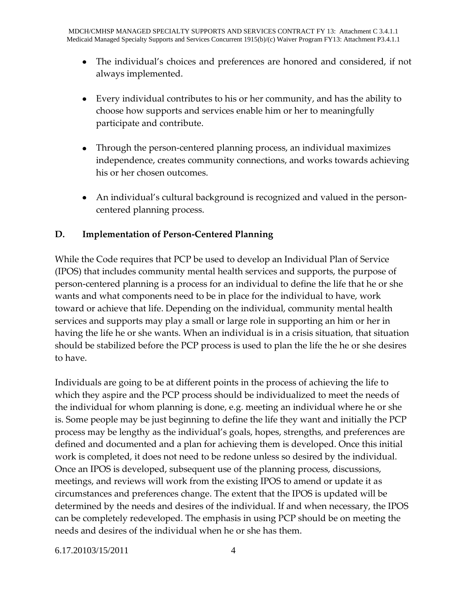- The individual's choices and preferences are honored and considered, if not always implemented.
- Every individual contributes to his or her community, and has the ability to choose how supports and services enable him or her to meaningfully participate and contribute.
- Through the person-centered planning process, an individual maximizes independence, creates community connections, and works towards achieving his or her chosen outcomes.
- An individual's cultural background is recognized and valued in the personcentered planning process.

## **D. Implementation of Person-Centered Planning**

While the Code requires that PCP be used to develop an Individual Plan of Service (IPOS) that includes community mental health services and supports, the purpose of person-centered planning is a process for an individual to define the life that he or she wants and what components need to be in place for the individual to have, work toward or achieve that life. Depending on the individual, community mental health services and supports may play a small or large role in supporting an him or her in having the life he or she wants. When an individual is in a crisis situation, that situation should be stabilized before the PCP process is used to plan the life the he or she desires to have.

Individuals are going to be at different points in the process of achieving the life to which they aspire and the PCP process should be individualized to meet the needs of the individual for whom planning is done, e.g. meeting an individual where he or she is. Some people may be just beginning to define the life they want and initially the PCP process may be lengthy as the individual's goals, hopes, strengths, and preferences are defined and documented and a plan for achieving them is developed. Once this initial work is completed, it does not need to be redone unless so desired by the individual. Once an IPOS is developed, subsequent use of the planning process, discussions, meetings, and reviews will work from the existing IPOS to amend or update it as circumstances and preferences change. The extent that the IPOS is updated will be determined by the needs and desires of the individual. If and when necessary, the IPOS can be completely redeveloped. The emphasis in using PCP should be on meeting the needs and desires of the individual when he or she has them.

6.17.20103/15/2011 4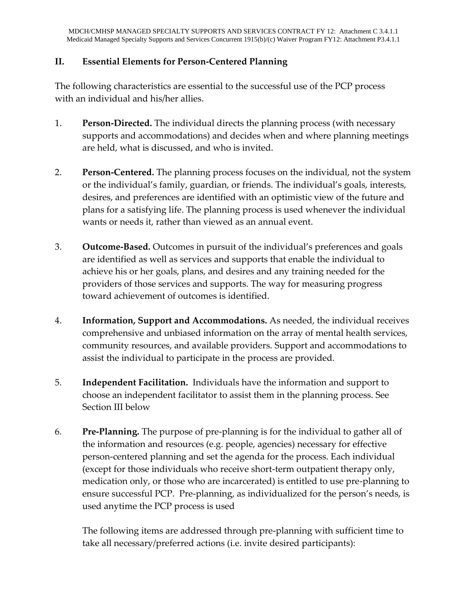#### **II. Essential Elements for Person-Centered Planning**

The following characteristics are essential to the successful use of the PCP process with an individual and his/her allies.

- 1. **Person-Directed.** The individual directs the planning process (with necessary supports and accommodations) and decides when and where planning meetings are held, what is discussed, and who is invited.
- 2. **Person-Centered.** The planning process focuses on the individual, not the system or the individual's family, guardian, or friends. The individual's goals, interests, desires, and preferences are identified with an optimistic view of the future and plans for a satisfying life. The planning process is used whenever the individual wants or needs it, rather than viewed as an annual event.
- 3. **Outcome-Based.** Outcomes in pursuit of the individual's preferences and goals are identified as well as services and supports that enable the individual to achieve his or her goals, plans, and desires and any training needed for the providers of those services and supports. The way for measuring progress toward achievement of outcomes is identified.
- 4. **Information, Support and Accommodations.** As needed, the individual receives comprehensive and unbiased information on the array of mental health services, community resources, and available providers. Support and accommodations to assist the individual to participate in the process are provided.
- 5. **Independent Facilitation.** Individuals have the information and support to choose an independent facilitator to assist them in the planning process. See Section III below
- 6. **Pre-Planning.** The purpose of pre-planning is for the individual to gather all of the information and resources (e.g. people, agencies) necessary for effective person-centered planning and set the agenda for the process. Each individual (except for those individuals who receive short-term outpatient therapy only, medication only, or those who are incarcerated) is entitled to use pre-planning to ensure successful PCP. Pre-planning, as individualized for the person's needs, is used anytime the PCP process is used

The following items are addressed through pre-planning with sufficient time to take all necessary/preferred actions (i.e. invite desired participants):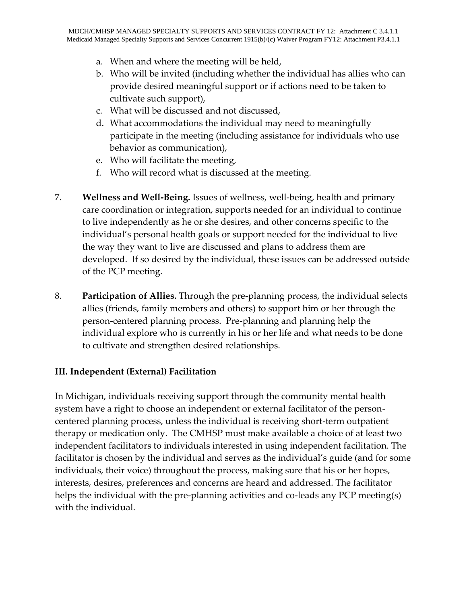- a. When and where the meeting will be held,
- b. Who will be invited (including whether the individual has allies who can provide desired meaningful support or if actions need to be taken to cultivate such support),
- c. What will be discussed and not discussed,
- d. What accommodations the individual may need to meaningfully participate in the meeting (including assistance for individuals who use behavior as communication),
- e. Who will facilitate the meeting,
- f. Who will record what is discussed at the meeting.
- 7. **Wellness and Well-Being.** Issues of wellness, well-being, health and primary care coordination or integration, supports needed for an individual to continue to live independently as he or she desires, and other concerns specific to the individual's personal health goals or support needed for the individual to live the way they want to live are discussed and plans to address them are developed. If so desired by the individual, these issues can be addressed outside of the PCP meeting.
- 8. **Participation of Allies.** Through the pre-planning process, the individual selects allies (friends, family members and others) to support him or her through the person-centered planning process. Pre-planning and planning help the individual explore who is currently in his or her life and what needs to be done to cultivate and strengthen desired relationships.

## **III. Independent (External) Facilitation**

In Michigan, individuals receiving support through the community mental health system have a right to choose an independent or external facilitator of the personcentered planning process, unless the individual is receiving short-term outpatient therapy or medication only. The CMHSP must make available a choice of at least two independent facilitators to individuals interested in using independent facilitation. The facilitator is chosen by the individual and serves as the individual's guide (and for some individuals, their voice) throughout the process, making sure that his or her hopes, interests, desires, preferences and concerns are heard and addressed. The facilitator helps the individual with the pre-planning activities and co-leads any PCP meeting(s) with the individual.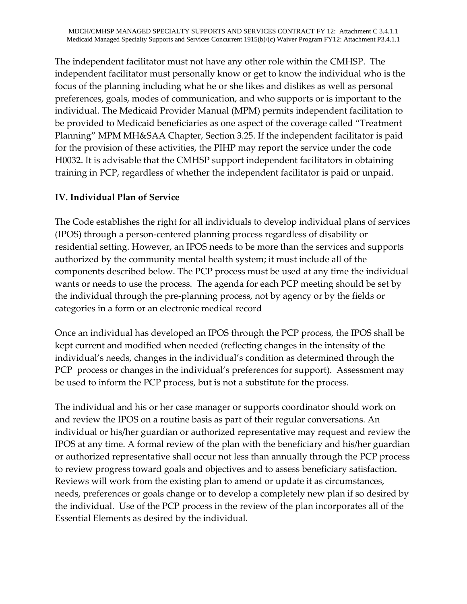The independent facilitator must not have any other role within the CMHSP. The independent facilitator must personally know or get to know the individual who is the focus of the planning including what he or she likes and dislikes as well as personal preferences, goals, modes of communication, and who supports or is important to the individual. The Medicaid Provider Manual (MPM) permits independent facilitation to be provided to Medicaid beneficiaries as one aspect of the coverage called "Treatment Planning" MPM MH&SAA Chapter, Section 3.25. If the independent facilitator is paid for the provision of these activities, the PIHP may report the service under the code H0032. It is advisable that the CMHSP support independent facilitators in obtaining training in PCP, regardless of whether the independent facilitator is paid or unpaid.

## **IV. Individual Plan of Service**

The Code establishes the right for all individuals to develop individual plans of services (IPOS) through a person-centered planning process regardless of disability or residential setting. However, an IPOS needs to be more than the services and supports authorized by the community mental health system; it must include all of the components described below. The PCP process must be used at any time the individual wants or needs to use the process. The agenda for each PCP meeting should be set by the individual through the pre-planning process, not by agency or by the fields or categories in a form or an electronic medical record

Once an individual has developed an IPOS through the PCP process, the IPOS shall be kept current and modified when needed (reflecting changes in the intensity of the individual's needs, changes in the individual's condition as determined through the PCP process or changes in the individual's preferences for support). Assessment may be used to inform the PCP process, but is not a substitute for the process.

The individual and his or her case manager or supports coordinator should work on and review the IPOS on a routine basis as part of their regular conversations. An individual or his/her guardian or authorized representative may request and review the IPOS at any time. A formal review of the plan with the beneficiary and his/her guardian or authorized representative shall occur not less than annually through the PCP process to review progress toward goals and objectives and to assess beneficiary satisfaction. Reviews will work from the existing plan to amend or update it as circumstances, needs, preferences or goals change or to develop a completely new plan if so desired by the individual. Use of the PCP process in the review of the plan incorporates all of the Essential Elements as desired by the individual.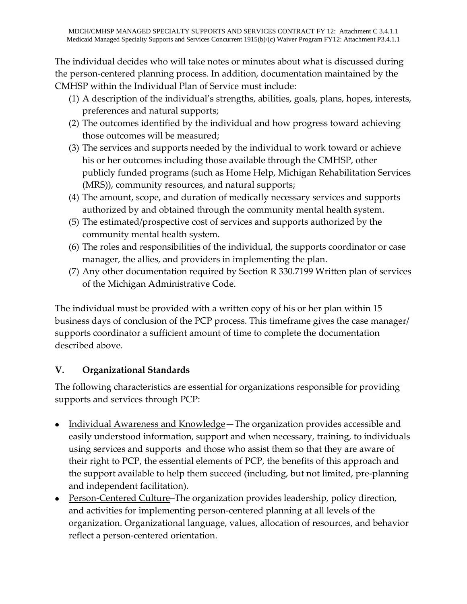The individual decides who will take notes or minutes about what is discussed during the person-centered planning process. In addition, documentation maintained by the CMHSP within the Individual Plan of Service must include:

- (1) A description of the individual's strengths, abilities, goals, plans, hopes, interests, preferences and natural supports;
- (2) The outcomes identified by the individual and how progress toward achieving those outcomes will be measured;
- (3) The services and supports needed by the individual to work toward or achieve his or her outcomes including those available through the CMHSP, other publicly funded programs (such as Home Help, Michigan Rehabilitation Services (MRS)), community resources, and natural supports;
- (4) The amount, scope, and duration of medically necessary services and supports authorized by and obtained through the community mental health system.
- (5) The estimated/prospective cost of services and supports authorized by the community mental health system.
- (6) The roles and responsibilities of the individual, the supports coordinator or case manager, the allies, and providers in implementing the plan.
- (7) Any other documentation required by Section R 330.7199 Written plan of services of the Michigan Administrative Code.

The individual must be provided with a written copy of his or her plan within 15 business days of conclusion of the PCP process. This timeframe gives the case manager/ supports coordinator a sufficient amount of time to complete the documentation described above.

# **V. Organizational Standards**

The following characteristics are essential for organizations responsible for providing supports and services through PCP:

- Individual Awareness and Knowledge—The organization provides accessible and easily understood information, support and when necessary, training, to individuals using services and supports and those who assist them so that they are aware of their right to PCP, the essential elements of PCP, the benefits of this approach and the support available to help them succeed (including, but not limited, pre-planning and independent facilitation).
- Person-Centered Culture–The organization provides leadership, policy direction, and activities for implementing person-centered planning at all levels of the organization. Organizational language, values, allocation of resources, and behavior reflect a person-centered orientation.